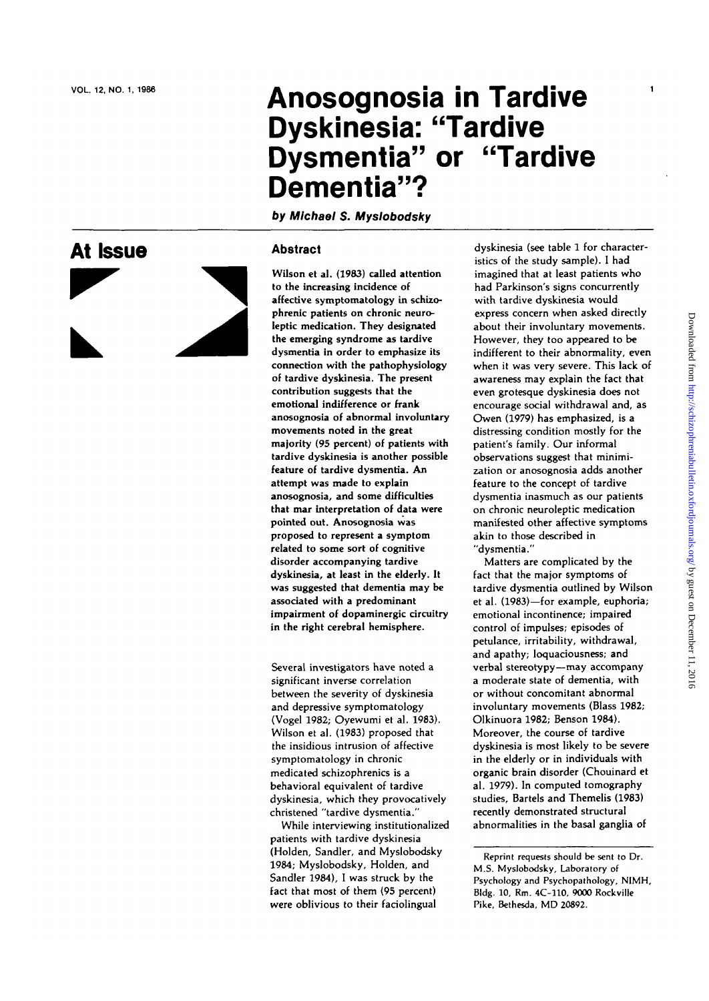**A t Issu**

# **Anosognosi a i n Tardiv e Dyskinesia : "Tardiv e Dysmentia " o r "Tardiv e Dementia" ?**

**by Michael S. Myslobodsky**

## **e a Abstract**

Wilson et al. (1983) called attention t o th e increasin g incidenc e of affective symptomatology in schizophreni c patient s o n chroni c neuro leptic medication. They designated the emerging syndrome as tardive dysmentia in order to emphasize its connectio n with th e pathophysiolog y of tardiv e dyskinesia . Th e presen t contribution suggests that the emotiona l indifferenc e o r frank anosognosi a of abnorma l involuntar y movement s note d i n th e great majority (95 percent) of patients with tardive dyskinesia is another possible featur e of tardiv e dysmentia . An attempt was made to explain anosognosia, and some difficulties tha t mar interpretatio n of dat a were nointed out Anosognosia was promosed to represent a symptom proposa to represent a oparpro-<br>related to some sort of cognitive remente to some sorr er eognum assisted accompanying taxave.<br>dyskinesia, at least in the elderly. It was suggested that dementia may be was suggested that achiencies in associated with a preachmant inipannient of uopanniergie ens<br>in the right cerebral hemisphere

Severa l investigator s hav e note d a significan t invers e correlatio n betwee n th e severity of dyskinesi a an d depressiv e symptomatolog y (Vogel 1982 ; Oyewum i et al . 1983) . Wilso n et al . (1983 ) propose d that th e insidiou s intrusio n of affectiv e symptomatolog y i n chroni c medicate d schizophrenic s i s a behaviora l equivalen t of tardiv e dyskinesia, which they provocatively christene d "tardiv e dysmentia. "

Whil e interviewin g institutionalize d patient s with tardiv e dyskinesi a (Holden, Sandler, and Myslobodsky 1984; Myslobodsky, Holden, and Sandler 1984), I was struck by the fact that most of them (95 percent) were oblivious to their faciolingual

dyskinesia (see table 1 for characteristic s of th e stud y sample) . I ha d imagined that at least patients who ha d Parkinson' s sign s concurrentl y with tardiv e dyskinesi a woul d expres s concern whe n aske d directl y about their involuntary movements. However, they too appeared to be indifferent to their abnormality, even when it was verv severe. This lack of awareness may explain the fact that even grotesque dyskinesia does not encourage social withdrawal and, as Owe n (1979 ) ha s emphasized , i s a distressing condition mostly for the patient' s family . Ou r informal observation s sugges t tha t minimi zation or anosognosia adds another pature to the concent of tardive dysmentia inasmuch as our natients o n chroni c neurolepti c medicatio n manifeste d othe r affectiv e symptom s numested omer uncenve akin to those

Matter s ar e complicate d b y th e fact that the major symptoms of tardiv e dysmenti a outline d b y Wilso n et al. (1983)-for example, euphoria; emotional incontinence; impaired control of impulses; episodes of petulance , irritability , withdrawal , .<br>and apathy: loquaciousness; and verba l stereotypy—ma y accompan y a moderat e stat e of dementia , with o r withou t concomitan t abnorma l involuntary movements (Blass 1982; Olkinuor a 1982 ; Benso n 1984) . Moreover, the course of tardive dyskinesi a i s mos t likel y t o b e severe i n th e elderl y o r in individual s with n the energy of in multiplieur comal . 1979) . In compute d tomograph y an, 1999), in computed tomography stuures, burters und Themens (T recentry activitation at deturns

 $\mathbf{1}$ 

Reprint requests should be sent to Dr . M.S . Myslobodsky , Laboratory of Psychology and Psychopathology , NIMH, Bldg . 10 , Rm. 4C-110 , 9000 Rockville Pike , Bethesda, MD 20892 .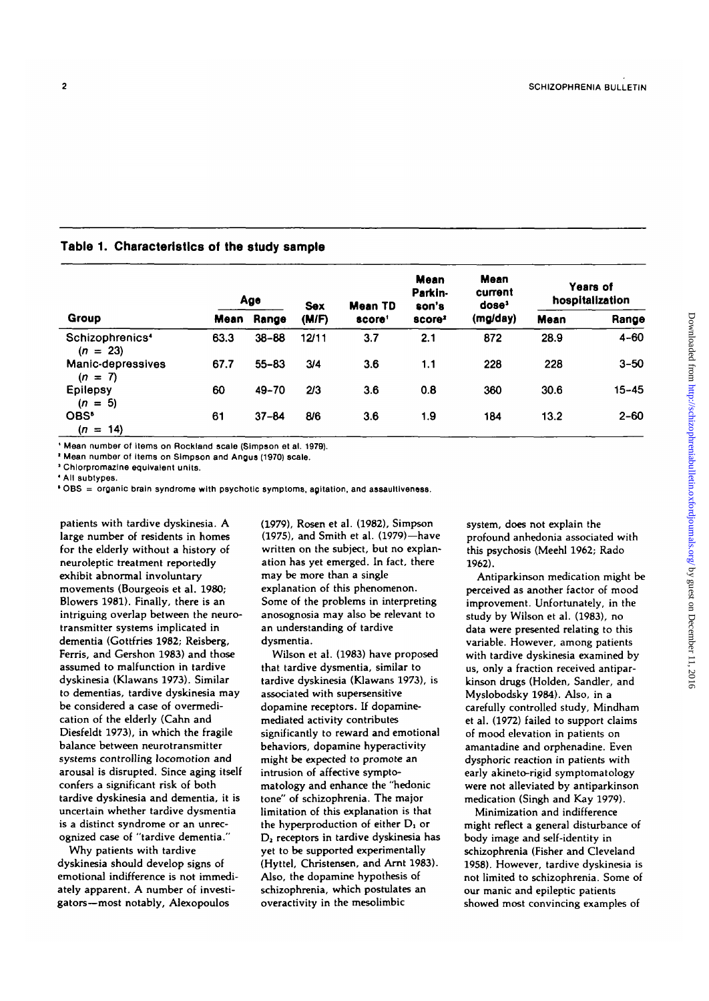| Group                                     | Age         |           | <b>Sex</b> | <b>Mean TD</b>     | <b>Mean</b><br>Parkin-<br>son's | <b>Mean</b><br>current<br>qose, | Years of<br>hospitalization |           |
|-------------------------------------------|-------------|-----------|------------|--------------------|---------------------------------|---------------------------------|-----------------------------|-----------|
|                                           | <b>Mean</b> | Range     | (M/F)      | score <sup>t</sup> | score <sup>2</sup>              | (mg/day)                        | Mean                        | Range     |
| Schizophrenics <sup>4</sup><br>$(n = 23)$ | 63.3        | $38 - 88$ | 12/11      | 3.7                | 2.1                             | 872                             | 28.9                        | $4 - 60$  |
| Manic-depressives<br>$(n = 7)$            | 67.7        | $55 - 83$ | 3/4        | 3.6                | 1.1                             | 228                             | 228                         | $3 - 50$  |
| Epilepsy<br>$(n = 5)$                     | 60          | 49-70     | 2/3        | 3.6                | 0.8                             | 360                             | 30.6                        | $15 - 45$ |
| OBS <sup>®</sup><br>$(n = 14)$            | 61          | $37 - 84$ | 8/6        | 3.6                | 1.9                             | 184                             | 13.2                        | $2 - 60$  |

### **Table 1. Characteristics of the study sample**

**1 Mean number of Items on Rockland scale (Simpson et al. 1979).**

**1 Mean number of Items on Simpson and Angus (1970) scale.**

**1 Chlorpromazlne equivalent units.**

**' All subtypes.**

**' OBS = organic brain syndrome with psychotic symptoms, agitation, and assaultlvensss.**

patients with tardive dyskinesia. A large number of residents in homes for the elderly without a history of neuroleptic treatment reportedly exhibit abnormal involuntary movements (Bourgeois et al. 1980; Blowers 1981). Finally, there is an intriguing overlap between the neurotransmitter systems implicated in dementia (Gottfries 1982; Reisberg, Ferris, and Gershon 1983) and those assumed to malfunction in tardive dyskinesia (Klawans 1973). Similar to dementias, tardive dyskinesia may be considered a case of overmedication of the elderly (Cahn and Diesfeldt 1973), in which the fragile balance between neurotransmitter systems controlling locomotion and arousal is disrupted. Since aging itself confers a significant risk of both tardive dyskinesia and dementia, it is uncertain whether tardive dysmentia is a distinct syndrome or an unrecognized case of "tardive dementia."

Why patients with tardive dyskinesia should develop signs of emotional indifference is not immediately apparent. A number of investigators—most notably, Alexopoulos

(1979), Rosen et al. (1982), Simpson (1975), and Smith et al. (1979)—have written on the subject, but no explanation has yet emerged. In fact, there may be more than a single explanation of this phenomenon. Some of the problems in interpreting anosognosia may also be relevant to an understanding of tardive dysmentia.

Wilson et al. (1983) have proposed that tardive dysmentia, similar to tardive dyskinesia (Klawans 1973), is associated with supersensitive dopamine receptors. If dopaminemediated activity contributes significantly to reward and emotional behaviors, dopamine hyperactivity might be expected to promote an intrusion of affective symptomatology and enhance the "hedonic tone" of schizophrenia. The major limitation of this explanation is that the hyperproduction of either D<sub>1</sub> or D<sub>2</sub> receptors in tardive dyskinesia has yet to be supported experimentally (Hyttel, Christensen, and Arnt 1983). Also, the dopamine hypothesis of schizophrenia, which postulates an overactivity in the mesolimbic

system, does not explain the profound anhedonia associated with this psychosis (Meehl 1962; Rado 1962).

Antiparkinson medication might be perceived as another factor of mood improvement. Unfortunately, in the study by Wilson et al. (1983), no data were presented relating to this variable. However, among patients with tardive dyskinesia examined by us, only a fraction received antiparkinson drugs (Holden, Sandier, and Myslobodsky 1984). Also, in a carefully controlled study, Mindham et al. (1972) failed to support claims of mood elevation in patients on amantadine and orphenadine. Even dysphoric reaction in patients with early akineto-rigid symptomatology were not alleviated by antiparkinson medication (Singh and Kay 1979).

Minimization and indifference might reflect a general disturbance of body image and self-identity in schizophrenia (Fisher and Cleveland 1958). However, tardive dyskinesia is not limited to schizophrenia. Some of our manic and epileptic patients showed most convincing examples of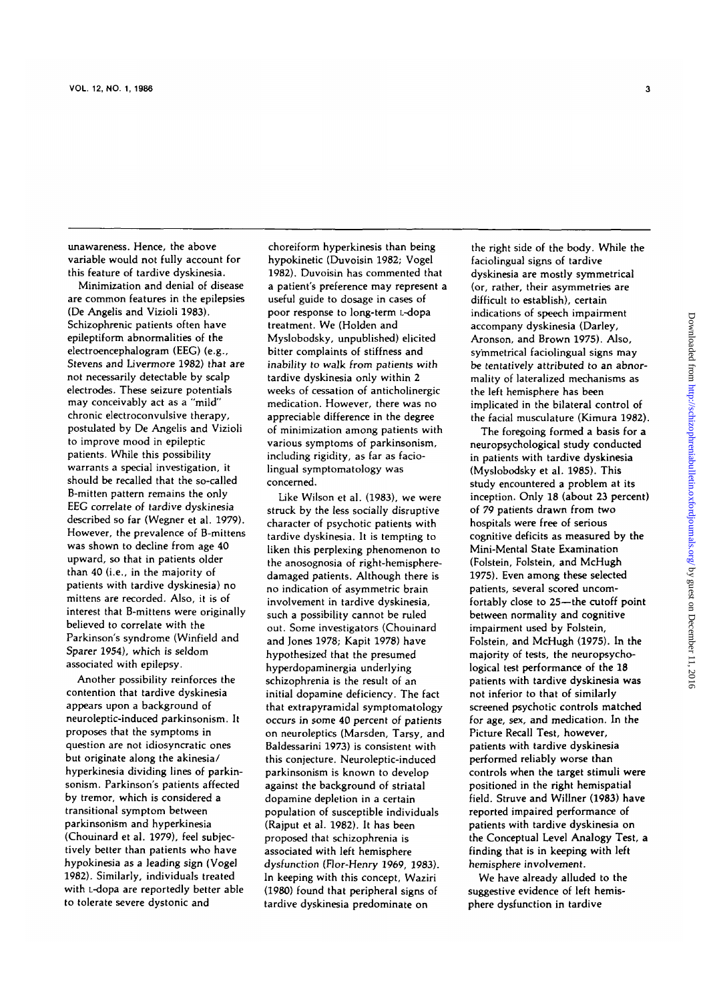unawareness. Hence, the above variable would not fully account for this feature of tardive dyskinesia.

Minimization and denial of disease are common features in the epilepsies (De Angelis and Vizioli 1983). Schizophrenic patients often have epileptiform abnormalities of the electroencephalogram (EEG) (e.g., Stevens and Livermore 1982) that are not necessarily detectable by scalp electrodes. These seizure potentials may conceivably act as a "mild" chronic electroconvulsive therapy, postulated by De Angelis and Vizioli to improve mood in epileptic patients. While this possibility warrants a special investigation, it should be recalled that the so-called B-mitten pattern remains the only EEG correlate of tardive dyskinesia described so far (Wegner et al. 1979). However, the prevalence of B-mittens was shown to decline from age 40 upward, so that in patients older than 40 (i.e., in the majority of patients with tardive dyskinesia) no mittens are recorded. Also, it is of interest that B-mittens were originally believed to correlate with the Parkinson's syndrome (Winfield and Sparer 1954), which is seldom associated with epilepsy.

Another possibility reinforces the contention that tardive dyskinesia appears upon a background of neuroleptic-induced parkinsonism. It proposes that the symptoms in question are not idiosyncratic ones but originate along the akinesia/ hyperkinesia dividing lines of parkinsonism. Parkinson's patients affected by tremor, which is considered a transitional symptom between parkinsonism and hyperkinesia (Chouinard et al. 1979), feel subjectively better than patients who have hypokinesia as a leading sign (Vogel 1982). Similarly, individuals treated with L-dopa are reportedly better able to tolerate severe dystonic and

choreiform hyperkinesis than being hypokinetic (Duvoisin 1982; Vogel 1982). Duvoisin has commented that a patient's preference may represent a useful guide to dosage in cases of poor response to long-term L-dopa treatment. We (Holden and Myslobodsky, unpublished) elicited bitter complaints of stiffness and inability to walk from patients with tardive dyskinesia only within 2 weeks of cessation of anticholinergic medication. However, there was no appreciable difference in the degree of minimization among patients with various symptoms of parkinsonism, including rigidity, as far as faciolingual symptomatology was concerned.

Like Wilson et al. (1983), we were struck by the less socially disruptive character of psychotic patients with tardive dyskinesia. It is tempting to liken this perplexing phenomenon to the anosognosia of right-hemispheredamaged patients. Although there is no indication of asymmetric brain involvement in tardive dyskinesia, such a possibility cannot be ruled out. Some investigators (Chouinard and Jones 1978; Kapit 1978) have hypothesized that the presumed hyperdopaminergia underlying schizophrenia is the result of an initial dopamine deficiency. The fact that extrapyramidal symptomatology occurs in some 40 percent of patients on neuroleptics (Marsden, Tarsy, and Baldessarini 1973) is consistent with this conjecture. Neuroleptic-induced parkinsonism is known to develop against the background of striatal dopamine depletion in a certain population of susceptible individuals (Rajput et al. 1982). It has been proposed that schizophrenia is associated with left hemisphere dysfunction (Flor-Henry 1969, 1983). In keeping with this concept, Waziri in keeping with this concept, waziri (1980) found that peripheral signs of<br>tardive dyskinesia predominate on

the right side of the body. While the faciolingual signs of tardive dyskinesia are mostly symmetrical (or, rather, their asymmetries are difficult to establish), certain indications of speech impairment accompany dyskinesia (Darley, Aronson, and Brown 1975). Also, symmetrical faciolingual signs may be tentatively attributed to an abnormality of lateralized mechanisms as the left hemisphere has been implicated in the bilateral control of the facial musculature (Kimura 1982).

The foregoing formed a basis for a neuropsychological study conducted in patients with tardive dyskinesia (Myslobodsky et al. 1985). This study encountered a problem at its inception. Only 18 (about 23 percent) of 79 patients drawn from two hospitals were free of serious cognitive deficits as measured by the Mini-Mental State Examination (Folstein, Folstein, and McHugh 1975). Even among these selected patients, several scored uncomfortably close to 25—the cutoff point between normality and cognitive impairment used by Folstein, Folstein, and McHugh (1975). In the majority of tests, the neuropsychological test performance of the 18 patients with tardive dyskinesia was not inferior to that of similarly screened psychotic controls matched for age, sex, and medication. In the Picture Recall Test, however, patients with tardive dyskinesia performed reliably worse than controls when the target stimuli were positioned in the right hemispatial field. Struve and Willner (1983) have reported impaired performance of patients with tardive dyskinesia on patients with tardive dyskinesia on fine Conceptual Level Analogy Tes finding that is in keeping with left<br>hemisphere involvement.

We have already alluded to the suggestive evidence of left hemisphere dysfunction in tardive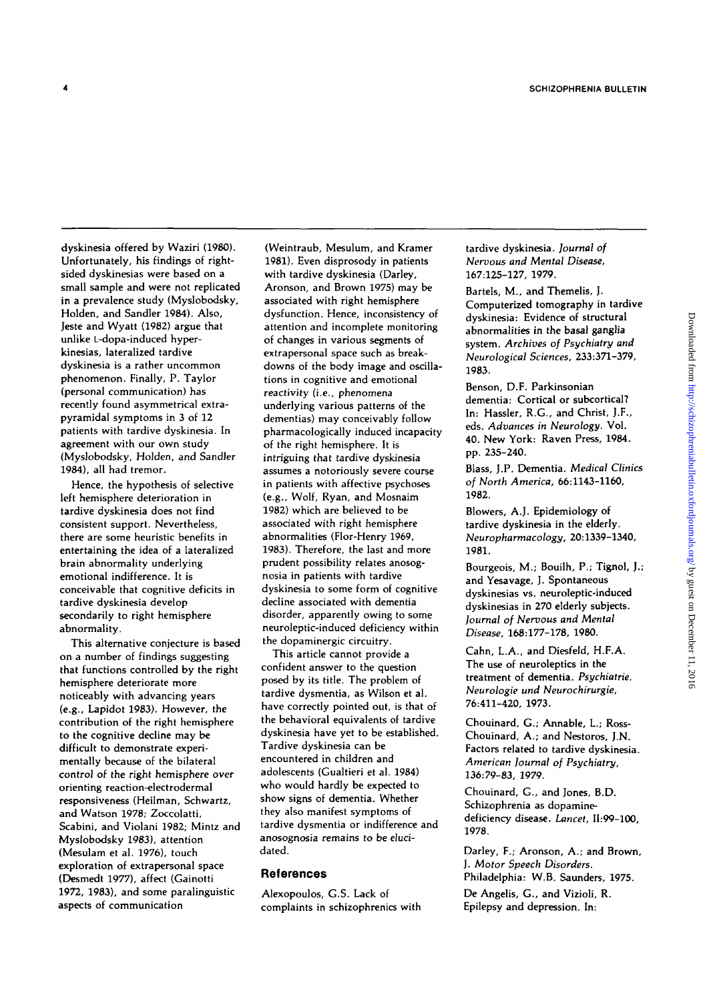dyskinesia offered by Waziri (1980). Unfortunately, his findings of rightsided dyskinesias were based on a small sample and were not replicated in a prevalence study (Myslobodsky, Holden, and Sandier 1984). Also, Jeste and Wyatt (1982) argue that unlike L-dopa-induced hyperkinesias, lateralized tardive dyskinesia is a rather uncommon phenomenon. Finally, P. Taylor (personal communication) has recently found asymmetrical extrapyramidal symptoms in 3 of 12 patients with tardive dyskinesia. In agreement with our own study (Myslobodsky, Holden, and Sandier 1984), all had tremor.

 $\overline{4}$ 

Hence, the hypothesis of selective left hemisphere deterioration in tardive dyskinesia does not find consistent support. Nevertheless, there are some heuristic benefits in entertaining the idea of a lateralized brain abnormality underlying emotional indifference. It is conceivable that cognitive deficits in tardive dyskinesia develop secondarily to right hemisphere abnormality.

This alternative conjecture is based on a number of findings suggesting that functions controlled by the right hemisphere deteriorate more noticeably with advancing years (e.g., Lapidot 1983). However, the contribution of the right hemisphere to the cognitive decline may be difficult to demonstrate experimentally because of the bilateral control of the right hemisphere over orienting reaction-electrodermal responsiveness (Heilman, Schwartz, and Watson 1978; Zoccolatti, Scabini, and Violani 1982; Mintz and Myslobodsky 1983), attention (Mesulam et al. 1976), touch exploration of extrapersonal space (Desmedt 1977), affect (Gainotti 1972, 1983), and some paralinguistic aspects of communication

(Weintraub, Mesulum, and Kramer 1981). Even disprosody in patients with tardive dyskinesia (Darley, Aronson, and Brown 1975) may be associated with right hemisphere dysfunction. Hence, inconsistency of attention and incomplete monitoring of changes in various segments of extrapersonal space such as breakdowns of the body image and oscillations in cognitive and emotional reactivity (i.e., phenomena underlying various patterns of the dementias) may conceivably follow pharmacologically induced incapacity of the right hemisphere. It is intriguing that tardive dyskinesia assumes a notoriously severe course in patients with affective psychoses (e.g., Wolf, Ryan, and Mosnaim 1982) which are believed to be associated with right hemisphere abnormalities (Flor-Henry 1969, 1983). Therefore, the last and more prudent possibility relates anosognosia in patients with tardive dyskinesia to some form of cognitive decline associated with dementia decime associated with dementia neuroleptic deficiency with the second definition with the neuroleptic-induced deficiency within<br>the dopaminergic circuitry.

This article cannot provide a confident answer to the question posed by its title. The problem of tardive dysmentia, as Wilson et al. have correctly pointed out, is that of the behavioral equivalents of tardive dyskinesia have yet to be established. Tardive dyskinesia can be encountered in children and adolescents (Gualtieri et al. 1984) who would hardly be expected to show signs of dementia. Whether they also manifest symptoms of tardive dysmentia or indifference and anosognosia remains to be elucidated.

#### **References**

Alexopoulos, G.S. Lack of complaints in schizophrenics with tardive dyskinesia. *Journal of Nervous and Mental Disease,* 167:125-127, 1979.

Bartels, M., and Themelis, J. Computerized tomography in tardive dyskinesia: Evidence of structural abnormalities in the basal ganglia system. *Archives of Psychiatry and Neurological Sciences,* 233:371-379, 1983.

Benson, D.F. Parkinsonian dementia: Cortical or subcortical? In: Hassler, R.G., and Christ, J.F., eds. *Advances in Neurology.* Vol. 40. New York: Raven Press, 1984. pp. 235-240.

Blass, J.P. Dementia. *Medical Clinics of North America,* 66:1143-1160, 1982.

Blowers, A.]. Epidemiology of tardive dyskinesia in the elderly. *Neuropharmacology,* 20:1339-1340, 1981.

Bourgeois, M.; Bouilh, P.; Tignol, J.; and Yesavage, J. Spontaneous dyskinesias vs. neuroleptic-induced dyskinesias in 270 elderly subjects. *Journal of Nervous and Mental Disease,* 168:177-178, 1980.

Cahn, L.A., and Diesfeld, H.F.A. The use of neuroleptics in the treatment of dementia. *Psychiatrie, Neurologie und Neurochirurgie,* 76:411-420, 1973.

Chouinard, G.; Annable, L; Ross-Chouinard, A.; and Nestoros, J.N. Factors related to tardive dyskinesia. *American Journal of Psychiatry,* 136:79-83, 1979.

Chouinard, G., and Jones, B.D. Schizophrenia as dopaminedeficiency disease. *Lancet,* 11:99-100, 1978.

Darley, F.; Aronson, A.; and Brown, J. Mofor *Speech Disorders.* Philadelphia: W.B. Saunders, 1975.

De Angelis, G., and Vizioli, R. Epilepsy and depression. In: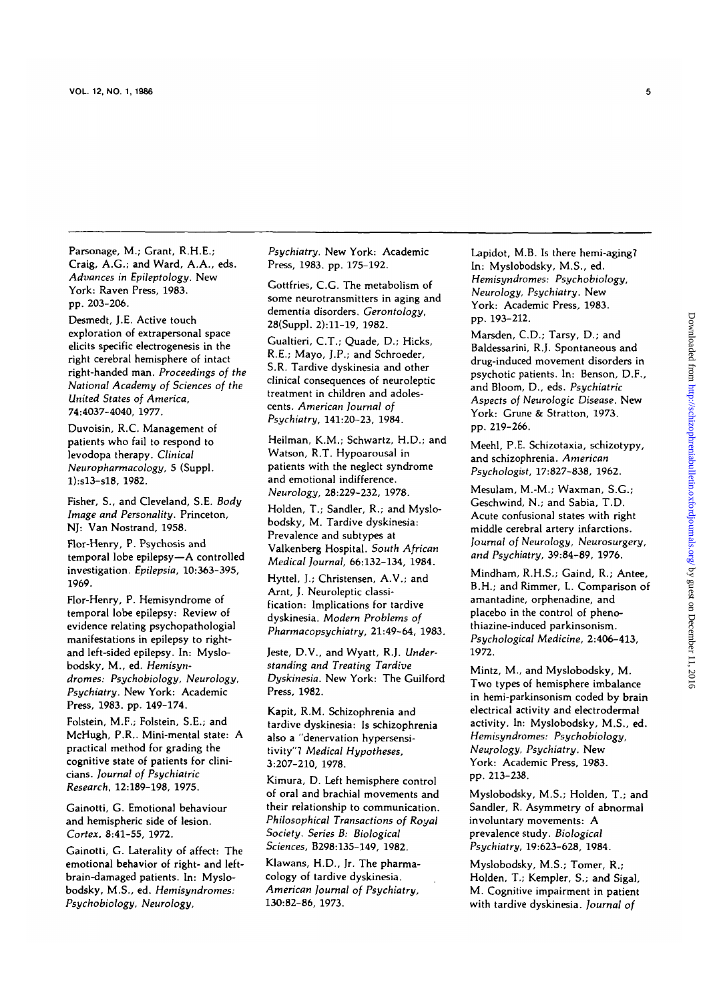Parsonage, M.; Grant, R.H.E.; Craig, A.G.; and Ward, A.A., eds. *Advances in Epileptology.* New York: Raven Press, 1983. pp. 203-206.

Desmedt, J.E. Active touch exploration of extrapersonal space elicits specific electrogenesis in the right cerebral hemisphere of intact right-handed man. *Proceedings of the National Academy of Sciences of the United States of America,* 74:4037-4040, 1977.

Duvoisin, R.C. Management of patients who fail to respond to levodopa therapy. *Clinical Neuropharmacology,* 5 (Suppl. I):sl3-sl8, 1982.

Fisher, S., and Cleveland, S.E. *Body Image and Personality.* Princeton, NJ: Van Nostrand, 1958.

Flor-Henry, P. Psychosis and temporal lobe epilepsy—A controlled investigation. *Epilepsia,* 10:363-395, 1969.

Flor-Henry, P. Hemisyndrome of temporal lobe epilepsy: Review of evidence relating psychopathologial manifestations in epilepsy to rightand left-sided epilepsy. In: Myslobodsky, M., ed. *Hemisyndromes: Psychobiology, Neurology, Psychiatry.* New York: Academic Press, 1983. pp. 149-174.

Folstein, M.F.; Folstein, S.E.; and McHugh, P.R.. Mini-mental state: A practical method for grading the cognitive state of patients for clinicians. *Journal of Psychiatric Research,* 12:189-198, 1975.

Gainotti, G. Emotional behaviour and hemispheric side of lesion. *Cortex,* 8:41-55, 1972.

Gainotti, G. Laterality of affect: The emotional behavior of right- and leftbrain-damaged patients. In: Myslobodsky, M.S., ed. *Hemisyndromes: Psychobiology, Neurology,*

*Psychiatry.* New York: Academic Press, 1983. pp. 175-192.

Gottfries, C.G. The metabolism of some neurotransmitters in aging and dementia disorders. *Gerontology,* 28(Suppl. 2):11-19, 1982.

Gualtieri, C.T.; Quade, D.; Hicks, R.E.; Mayo, J.P.; and Schroeder, S.R. Tardive dyskinesia and other clinical consequences of neuroleptic treatment in children and adolescents. *American Journal of Psychiatry,* 141:20-23, 1984.

Heilman, K.M.; Schwartz, H.D.; and Watson, R.T. Hypoarousal in patients with the neglect syndrome and emotional indifference. *Neurology,* 28:229-232, 1978.

Holden, T.; Sandier, R.; and Myslobodsky, M. Tardive dyskinesia: Prevalence and subtypes at Valkenberg Hospital. *South African Medical Journal,* 66:132-134, 1984.

Hyttel, J.; Christensen, A.V.; and Arnt, J. Neuroleptic classification: Implications for tardive dyskinesia. *Modern Problems of Pharmacopsychiatry,* 21:49-64, 1983.

Jeste, D.V., and Wyatt, R.J. *Understanding and Treating Tardive Dyskinesia.* New York: The Guilford Press, 1982.

Kapit, R.M. Schizophrenia and tardive dyskinesia: Is schizophrenia also a "denervation hypersensitivity"7 *Medical Hypotheses,* 3:207-210, 1978.

Kimura, D. Left hemisphere control of oral and brachial movements and their relationship to communication. *Philosophical Transactions of Royal Society. Series B: Biological Sciences,* B298:135-149, 1982.

Klawans, H.D., Jr. The pharmacology of tardive dyskinesia. *American Journal of Psychiatry,* 130:82-86, 1973.

Lapidot, M.B. Is there hemi-aging? In: Myslobodsky, M.S., ed. *Hemisyndromes: Psychobiology, Neurology, Psychiatry.* New York: Academic Press, 1983. pp. 193-212.

Marsden, C.D.; Tarsy, D.; and Baldessarini, R.J. Spontaneous and drug-induced movement disorders in psychotic patients. In: Benson, D.F., and Bloom, D., eds. *Psychiatric Aspects of Neurologic Disease.* New York: Grune & Stratton, 1973. pp. 219-266.

Meehl, P.E. Schizotaxia, schizotypy, and schizophrenia. *American Psychologist,* 17:827-838, 1962.

Mesulam, M.-M.; Waxman, S.G.; Geschwind, N.; and Sabia, T.D. Acute confusional states with right middle cerebral artery infarctions. *Journal of Neurology, Neurosurgery, and Psychiatry,* 39:84-89, 1976.

Mindham, R.H.S.; Gaind, R.; Antee, B.H.; and Rimmer, L. Comparison of amantadine, orphenadine, and placebo in the control of phenothiazine-induced parkinsonism. *Psychological Medicine,* **2:406-413,** 1972.

Mintz, M., and Myslobodsky, M. Two types of hemisphere imbalance in hemi-parkinsonism coded by brain electrical activity and electrodermal activity. In: Myslobodsky, M.S., ed. *Hemisyndromes: Psychobiology, Neurology, Psychiatry.* New York: Academic Press, 1983. pp. 213-238.

Myslobodsky, M.S.; Holden, T.; and Sandier, R. Asymmetry of abnormal involuntary movements: A prevalence study. *Biological Psychiatry,* 19:623-628, 1984.

Myslobodsky, M.S.; Tomer, R.; Holden, T.; Kempler, S.; and Sigal, M. Cognitive impairment in patient with tardive dyskinesia. *Journal of*